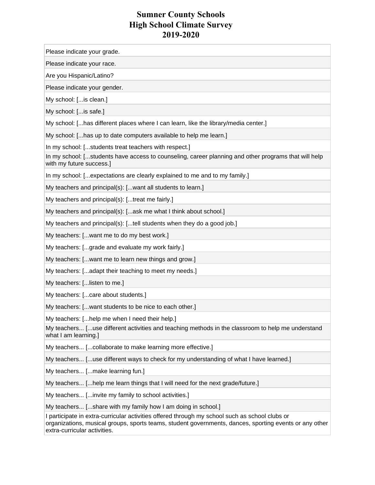Please indicate your grade.

Please indicate your race.

Are you Hispanic/Latino?

Please indicate your gender.

My school: [...is clean.]

My school: [...is safe.]

My school: [...has different places where I can learn, like the library/media center.]

My school: [...has up to date computers available to help me learn.]

In my school: [...students treat teachers with respect.]

In my school: [...students have access to counseling, career planning and other programs that will help with my future success.]

In my school: [...expectations are clearly explained to me and to my family.]

My teachers and principal(s): [...want all students to learn.]

My teachers and principal(s): [...treat me fairly.]

My teachers and principal(s): [...ask me what I think about school.]

My teachers and principal(s): [...tell students when they do a good job.]

My teachers: [...want me to do my best work.]

My teachers: [...grade and evaluate my work fairly.]

My teachers: [...want me to learn new things and grow.]

My teachers: [...adapt their teaching to meet my needs.]

My teachers: [...listen to me.]

My teachers: [...care about students.]

My teachers: [...want students to be nice to each other.]

My teachers: [...help me when I need their help.]

My teachers... [...use different activities and teaching methods in the classroom to help me understand what I am learning.]

My teachers... [...collaborate to make learning more effective.]

My teachers... [...use different ways to check for my understanding of what I have learned.]

My teachers... [...make learning fun.]

My teachers... [...help me learn things that I will need for the next grade/future.]

My teachers... [...invite my family to school activities.]

My teachers... [...share with my family how I am doing in school.]

I participate in extra-curricular activities offered through my school such as school clubs or organizations, musical groups, sports teams, student governments, dances, sporting events or any other extra-curricular activities.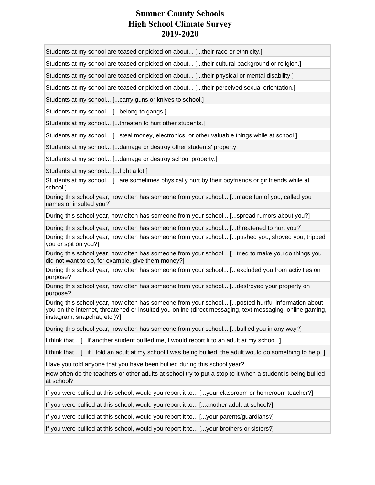Students at my school are teased or picked on about... [...their race or ethnicity.]

Students at my school are teased or picked on about... [...their cultural background or religion.]

Students at my school are teased or picked on about... [...their physical or mental disability.]

Students at my school are teased or picked on about... [...their perceived sexual orientation.]

Students at my school... [...carry guns or knives to school.]

Students at my school... [...belong to gangs.]

Students at my school... [...threaten to hurt other students.]

Students at my school... [...steal money, electronics, or other valuable things while at school.]

Students at my school... [...damage or destroy other students' property.]

Students at my school... [...damage or destroy school property.]

Students at my school... [...fight a lot.]

Students at my school... [...are sometimes physically hurt by their boyfriends or girlfriends while at school.]

During this school year, how often has someone from your school... [...made fun of you, called you names or insulted you?]

During this school year, how often has someone from your school... [...spread rumors about you?]

During this school year, how often has someone from your school... [...threatened to hurt you?]

During this school year, how often has someone from your school... [...pushed you, shoved you, tripped you or spit on you?]

During this school year, how often has someone from your school... [...tried to make you do things you did not want to do, for example, give them money?]

During this school year, how often has someone from your school... [...excluded you from activities on purpose?]

During this school year, how often has someone from your school... [...destroyed your property on purpose?]

During this school year, how often has someone from your school... [...posted hurtful information about you on the Internet, threatened or insulted you online (direct messaging, text messaging, online gaming, instagram, snapchat, etc.)?]

During this school year, how often has someone from your school... [...bullied you in any way?]

I think that... [...if another student bullied me, I would report it to an adult at my school. ]

I think that... [...if I told an adult at my school I was being bullied, the adult would do something to help. ]

Have you told anyone that you have been bullied during this school year?

How often do the teachers or other adults at school try to put a stop to it when a student is being bullied at school?

If you were bullied at this school, would you report it to... [...your classroom or homeroom teacher?]

If you were bullied at this school, would you report it to... [...another adult at school?]

If you were bullied at this school, would you report it to... [...your parents/guardians?]

If you were bullied at this school, would you report it to... [...your brothers or sisters?]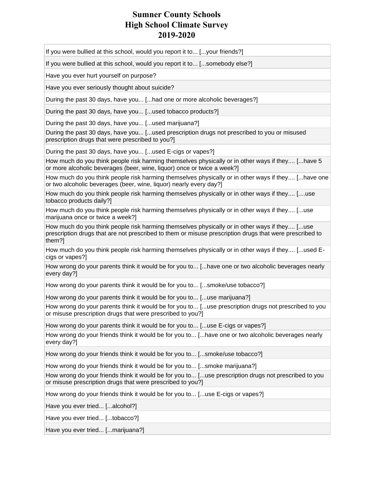If you were bullied at this school, would you report it to... [...your friends?]

If you were bullied at this school, would you report it to... [...somebody else?]

Have you ever hurt yourself on purpose?

Have you ever seriously thought about suicide?

During the past 30 days, have you... [...had one or more alcoholic beverages?]

During the past 30 days, have you... [...used tobacco products?]

During the past 30 days, have you... [...used marijuana?]

During the past 30 days, have you... [...used prescription drugs not prescribed to you or misused prescription drugs that were prescribed to you?]

During the past 30 days, have you... [...used E-cigs or vapes?]

How much do you think people risk harming themselves physically or in other ways if they.... [...have 5 or more alcoholic beverages (beer, wine, liquor) once or twice a week?]

How much do you think people risk harming themselves physically or in other ways if they.... [...have one or two alcoholic beverages (beer, wine, liquor) nearly every day?]

How much do you think people risk harming themselves physically or in other ways if they.... [....use tobacco products daily?]

How much do you think people risk harming themselves physically or in other ways if they.... [...use marijuana once or twice a week?]

How much do you think people risk harming themselves physically or in other ways if they.... [...use prescription drugs that are not prescribed to them or misuse prescription drugs that were prescribed to them?]

How much do you think people risk harming themselves physically or in other ways if they.... [...used Ecigs or vapes?]

How wrong do your parents think it would be for you to... [...have one or two alcoholic beverages nearly every day?]

How wrong do your parents think it would be for you to... [...smoke/use tobacco?]

How wrong do your parents think it would be for you to... [...use marijuana?]

How wrong do your parents think it would be for you to... [...use prescription drugs not prescribed to you or misuse prescription drugs that were prescribed to you?]

How wrong do your parents think it would be for you to... [...use E-cigs or vapes?]

How wrong do your friends think it would be for you to... [...have one or two alcoholic beverages nearly every day?]

How wrong do your friends think it would be for you to... [...smoke/use tobacco?]

How wrong do your friends think it would be for you to... [...smoke marijuana?]

How wrong do your friends think it would be for you to... [...use prescription drugs not prescribed to you or misuse prescription drugs that were prescribed to you?]

How wrong do your friends think it would be for you to... [...use E-cigs or vapes?]

Have you ever tried... [...alcohol?]

Have you ever tried... [...tobacco?]

Have you ever tried... [...marijuana?]